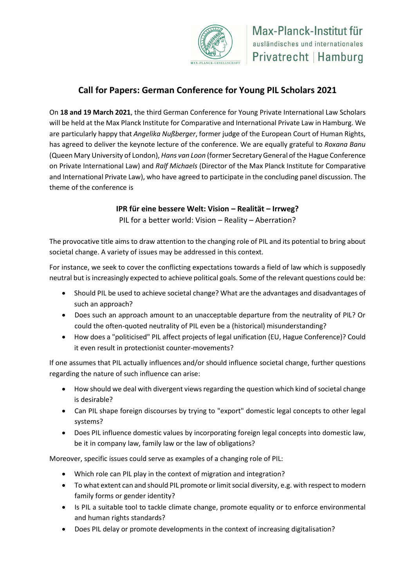

## **Call for Papers: German Conference for Young PIL Scholars 2021**

On **18 and 19 March 2021**, the third German Conference for Young Private International Law Scholars will be held at the Max Planck Institute for Comparative and International Private Law in Hamburg. We are particularly happy that *Angelika Nußberger*, former judge of the European Court of Human Rights, has agreed to deliver the keynote lecture of the conference. We are equally grateful to *Roxana Banu* (Queen Mary University of London), *Hans van Loon* (former Secretary General of the Hague Conference on Private International Law) and *Ralf Michaels* (Director of the Max Planck Institute for Comparative and International Private Law), who have agreed to participate in the concluding panel discussion. The theme of the conference is

## **IPR für eine bessere Welt: Vision – Realität – Irrweg?**

PIL for a better world: Vision – Reality – Aberration?

The provocative title aims to draw attention to the changing role of PIL and its potential to bring about societal change. A variety of issues may be addressed in this context.

For instance, we seek to cover the conflicting expectations towards a field of law which is supposedly neutral but is increasingly expected to achieve political goals. Some of the relevant questions could be:

- Should PIL be used to achieve societal change? What are the advantages and disadvantages of such an approach?
- Does such an approach amount to an unacceptable departure from the neutrality of PIL? Or could the often-quoted neutrality of PIL even be a (historical) misunderstanding?
- How does a "politicised" PIL affect projects of legal unification (EU, Hague Conference)? Could it even result in protectionist counter-movements?

If one assumes that PIL actually influences and/or should influence societal change, further questions regarding the nature of such influence can arise:

- How should we deal with divergent views regarding the question which kind of societal change is desirable?
- Can PIL shape foreign discourses by trying to "export" domestic legal concepts to other legal systems?
- Does PIL influence domestic values by incorporating foreign legal concepts into domestic law, be it in company law, family law or the law of obligations?

Moreover, specific issues could serve as examples of a changing role of PIL:

- Which role can PIL play in the context of migration and integration?
- To what extent can and should PIL promote or limit social diversity, e.g. with respect to modern family forms or gender identity?
- Is PIL a suitable tool to tackle climate change, promote equality or to enforce environmental and human rights standards?
- Does PIL delay or promote developments in the context of increasing digitalisation?